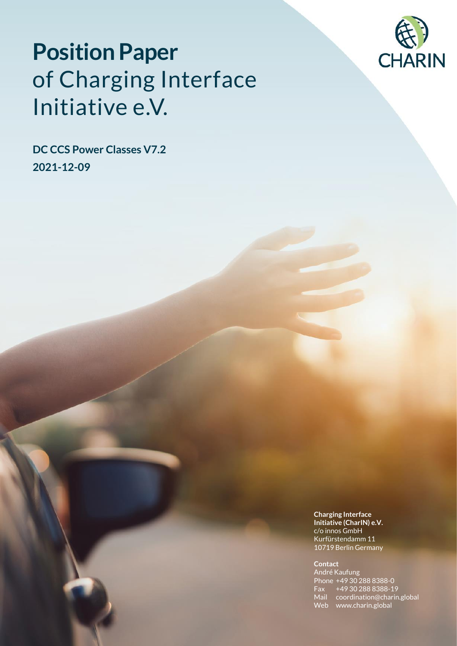

# **Position Paper** of Charging Interface Initiative e.V.

**DC CCS Power Classes V7.2 2021-12-09**

> **Charging Interface Initiative (CharIN) e.V.**  c/o innos GmbH Kurfürstendamm 11 10719 Berlin Germany

#### **Contact**

André Kaufung Phone +49 30 288 8388-0 Fax +49 30 288 8388-19 Mail coordination@charin.global Web www.charin.global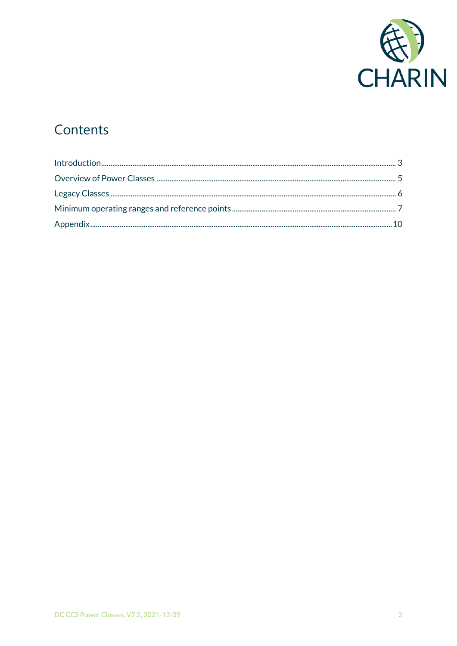

## Contents

| $Introduction 3$ |  |
|------------------|--|
|                  |  |
|                  |  |
|                  |  |
|                  |  |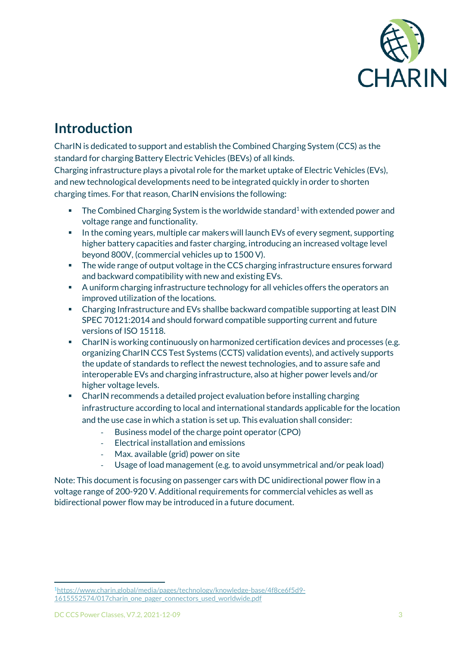

### **Introduction**

CharIN is dedicated to support and establish the Combined Charging System (CCS) as the standard for charging Battery Electric Vehicles (BEVs) of all kinds.

Charging infrastructure plays a pivotal role for the market uptake of Electric Vehicles (EVs), and new technological developments need to be integrated quickly in order to shorten charging times. For that reason, CharIN envisions the following:

- **•** The Combined Charging System is the worldwide standard<sup>1</sup> with extended power and voltage range and functionality.
- In the coming years, multiple car makers will launch EVs of every segment, supporting higher battery capacities and faster charging, introducing an increased voltage level beyond 800V, (commercial vehicles up to 1500 V).
- The wide range of output voltage in the CCS charging infrastructure ensures forward and backward compatibility with new and existing EVs.
- A uniform charging infrastructure technology for all vehicles offers the operators an improved utilization of the locations.
- Charging Infrastructure and EVs shallbe backward compatible supporting at least DIN SPEC 70121:2014 and should forward compatible supporting current and future versions of ISO 15118.
- CharIN is working continuously on harmonized certification devices and processes (e.g. organizing CharIN CCS Test Systems (CCTS) validation events), and actively supports the update of standards to reflect the newest technologies, and to assure safe and interoperable EVs and charging infrastructure, also at higher power levels and/or higher voltage levels.
- CharIN recommends a detailed project evaluation before installing charging infrastructure according to local and international standards applicable for the location and the use case in which a station is set up. This evaluation shall consider:
	- Business model of the charge point operator (CPO)
	- Electrical installation and emissions
	- Max. available (grid) power on site
	- Usage of load management (e.g. to avoid unsymmetrical and/or peak load)

Note: This document is focusing on passenger cars with DC unidirectional power flow in a voltage range of 200-920 V. Additional requirements for commercial vehicles as well as bidirectional power flow may be introduced in a future document.

<sup>1</sup>[https://www.charin.global/media/pages/technology/knowledge-base/4f8ce6f5d9-](https://www.charin.global/media/pages/technology/knowledge-base/4f8ce6f5d9-1615552574/017charin_one_pager_connectors_used_worldwide.pdf) [1615552574/017charin\\_one\\_pager\\_connectors\\_used\\_worldwide.pdf](https://www.charin.global/media/pages/technology/knowledge-base/4f8ce6f5d9-1615552574/017charin_one_pager_connectors_used_worldwide.pdf)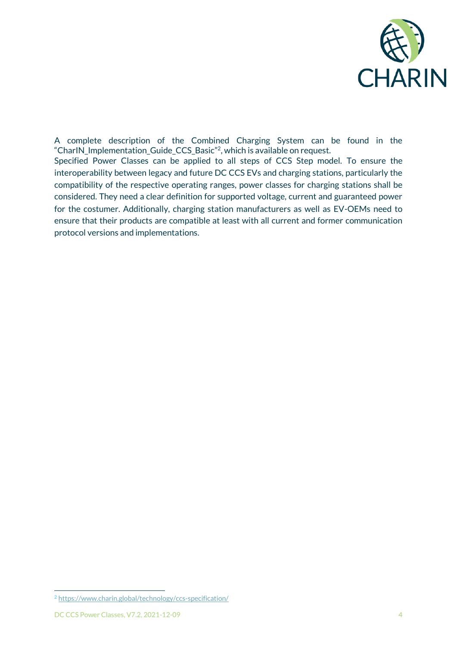

A complete description of the Combined Charging System can be found in the "CharIN\_Implementation\_Guide\_CCS\_Basic"<sup>2</sup> , which is available on request.

Specified Power Classes can be applied to all steps of CCS Step model. To ensure the interoperability between legacy and future DC CCS EVs and charging stations, particularly the compatibility of the respective operating ranges, power classes for charging stations shall be considered. They need a clear definition for supported voltage, current and guaranteed power for the costumer. Additionally, charging station manufacturers as well as EV-OEMs need to ensure that their products are compatible at least with all current and former communication protocol versions and implementations.

<sup>2</sup> <https://www.charin.global/technology/ccs-specification/>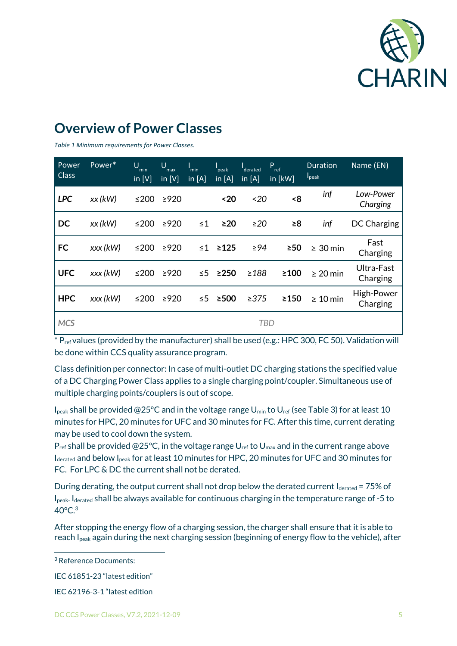

### **Overview of Power Classes**

*Table 1 Minimum requirements for Power Classes.*

| Power<br><b>Class</b> | Power*    | U<br>min<br>in $[V]$ | U<br>max<br>in $[V]$ | min<br>in $[A]$ | peak<br>in $[A]$ | derated<br>in $[A]$ | P<br>ref<br>in $[kW]$ | <b>Duration</b><br>I <sub>peak</sub> | Name (EN)              |
|-----------------------|-----------|----------------------|----------------------|-----------------|------------------|---------------------|-----------------------|--------------------------------------|------------------------|
| <b>LPC</b>            | $xx$ (kW) | ≤200                 | $\geq$ 920           |                 | ~120             | ~520                | <8                    | inf                                  | Low-Power<br>Charging  |
| <b>DC</b>             | $xx$ (kW) | ≤200                 | $\geq$ 920           | $\leq 1$        | $\geq$ 20        | $\geq$ 20           | $\geq 8$              | inf                                  | DC Charging            |
| <b>FC</b>             | xxx (kW)  | ≤200                 | $\geq$ 920           | ≤1              | $\geq 125$       | $\geq 94$           | $\geq 50$             | $\geq 30$ min                        | Fast<br>Charging       |
| <b>UFC</b>            | xxx (kW)  | ≤200                 | $\geq$ 920           | $\leq 5$        | $\geq$ 250       | $\geq$ 188          | $\geq 100$            | $\geq 20$ min                        | Ultra-Fast<br>Charging |
| <b>HPC</b>            | xxx (kW)  | ≤200                 | $\geq$ 920           | $\leq 5$        | ≥500             | >375                | $\geq$ 150            | $\geq 10$ min                        | High-Power<br>Charging |
| <b>MCS</b>            |           |                      |                      |                 |                  | <b>TBD</b>          |                       |                                      |                        |

 $*P_{ref}$  values (provided by the manufacturer) shall be used (e.g.: HPC 300, FC 50). Validation will be done within CCS quality assurance program.

Class definition per connector: In case of multi-outlet DC charging stations the specified value of a DC Charging Power Class applies to a single charging point/coupler. Simultaneous use of multiple charging points/couplers is out of scope.

I<sub>peak</sub> shall be provided @25°C and in the voltage range U<sub>min</sub> to U<sub>ref</sub> (see Table 3) for at least 10 minutes for HPC, 20 minutes for UFC and 30 minutes for FC. After this time, current derating may be used to cool down the system.

 $P_{ref}$  shall be provided @25°C, in the voltage range  $U_{ref}$  to  $U_{max}$  and in the current range above Iderated and below Ipeak for at least 10 minutes for HPC, 20 minutes for UFC and 30 minutes for FC. For LPC & DC the current shall not be derated.

During derating, the output current shall not drop below the derated current  $I_{\text{derated}} = 75\%$  of I<sub>peak</sub>. I<sub>derated</sub> shall be always available for continuous charging in the temperature range of -5 to 40°C. 3

After stopping the energy flow of a charging session, the charger shall ensure that it is able to reach Ipeak again during the next charging session (beginning of energy flow to the vehicle), after

<sup>3</sup> Reference Documents:

IEC 61851-23 "latest edition"

IEC 62196-3-1 "latest edition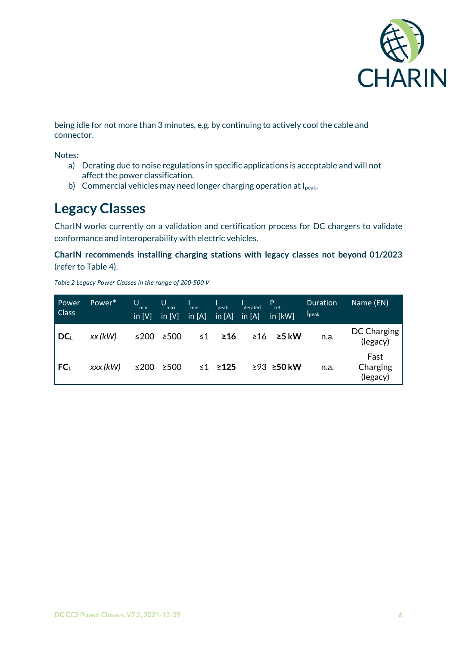

being idle for not more than 3 minutes, e.g. by continuing to actively cool the cable and connector.

Notes:

- a) Derating due to noise regulations in specific applications is acceptable and will not affect the power classification.
- b) Commercial vehicles may need longer charging operation at Ipeak.

#### **Legacy Classes**

CharIN works currently on a validation and certification process for DC chargers to validate conformance and interoperability with electric vehicles.

**CharIN recommends installing charging stations with legacy classes not beyond 01/2023** (refer to Table 4).

*Table 2 Legacy Power Classes in the range of 200-500 V*

| Power<br><b>Class</b> | Power*    | U<br>min<br>in $[V]$ | U<br>max<br>in $[V]$ | min<br>in $[A]$ | peak<br>in $[A]$ | derated<br>in $[A]$ | $P_{ref}$<br>in [kW] | Duration<br>$I_{\text{peak}}$ | Name (EN)                    |
|-----------------------|-----------|----------------------|----------------------|-----------------|------------------|---------------------|----------------------|-------------------------------|------------------------------|
| $DC_L$                | $xx$ (kW) | ≤200                 | ≥500                 | $\leq 1$        | ≥16              | $\geq 16$           | $\geq$ 5 kW          | n.a.                          | DC Charging<br>(legacy)      |
| FC <sub>L</sub>       | xxx (kW)  | ≤200                 | $\geq$ 500           |                 | $≤1$ ≥125        |                     | ≥93 ≥50 kW           | n.a.                          | Fast<br>Charging<br>(legacy) |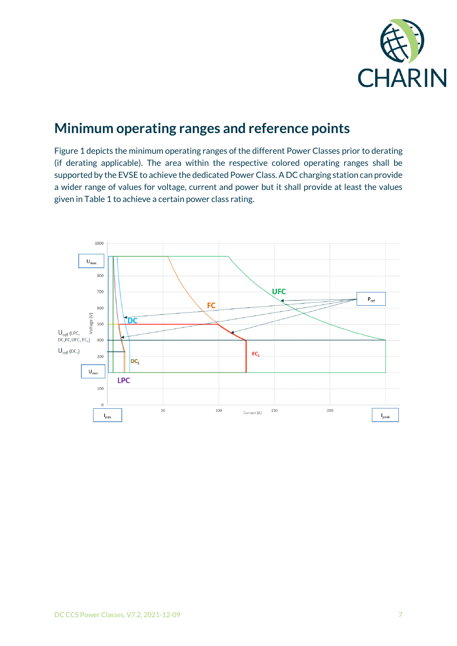

#### **Minimum operating ranges and reference points**

Figure 1 depicts the minimum operating ranges of the different Power Classes prior to derating (if derating applicable). The area within the respective colored operating ranges shall be supported by the EVSE to achieve the dedicated Power Class. A DC charging station can provide a wider range of values for voltage, current and power but it shall provide at least the values given in Table 1 to achieve a certain power class rating.

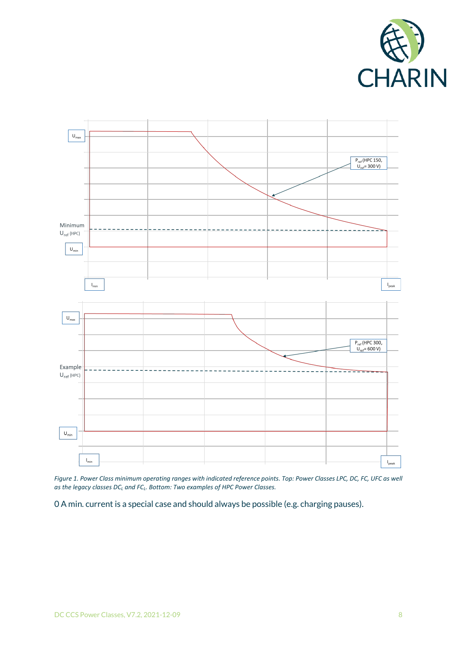



*Figure 1. Power Class minimum operating ranges with indicated reference points. Top: Power Classes LPC, DC, FC, UFC as well as the legacy classes DC<sup>L</sup> and FCL. Bottom: Two examples of HPC Power Classes.*

0 A min. current is a special case and should always be possible (e.g. charging pauses).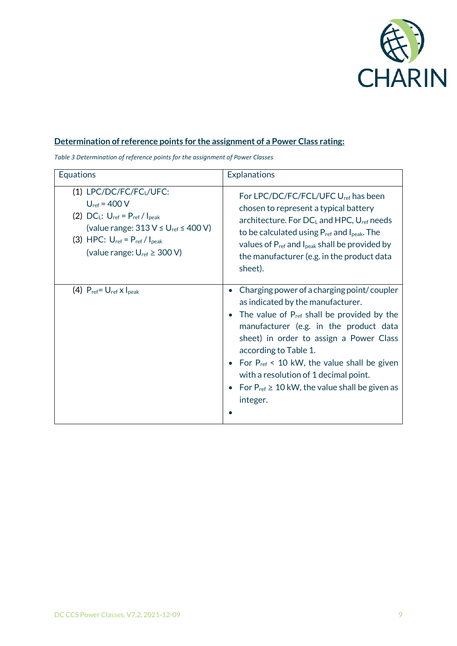

#### **Determination of reference points for the assignment of a Power Class rating:**

*Table 3 Determination of reference points for the assignment of Power Classes*

| <b>Equations</b>                                                                                                                                                                                                                                                            | <b>Explanations</b>                                                                                                                                                                                                                                                                                                                                                                                                      |
|-----------------------------------------------------------------------------------------------------------------------------------------------------------------------------------------------------------------------------------------------------------------------------|--------------------------------------------------------------------------------------------------------------------------------------------------------------------------------------------------------------------------------------------------------------------------------------------------------------------------------------------------------------------------------------------------------------------------|
| (1) LPC/DC/FC/FC <sub>L</sub> /UFC:<br>$U_{ref} = 400 V$<br>(2) $DC_L$ : $U_{ref} = P_{ref} / I_{peak}$<br>(value range: $313 \text{ V} \leq \text{U}_{\text{ref}} \leq 400 \text{ V}$ )<br>(3) HPC: $U_{ref} = P_{ref} / I_{peak}$<br>(value range: $U_{ref} \geq 300 V$ ) | For LPC/DC/FC/FCL/UFC U <sub>ref</sub> has been<br>chosen to represent a typical battery<br>architecture. For $DCL$ and HPC, $Uref$ needs<br>to be calculated using $P_{ref}$ and $I_{peak}$ . The<br>values of $P_{ref}$ and $I_{peak}$ shall be provided by<br>the manufacturer (e.g. in the product data<br>sheet).                                                                                                   |
| (4) $P_{ref} = U_{ref} \times I_{peak}$                                                                                                                                                                                                                                     | Charging power of a charging point/coupler<br>as indicated by the manufacturer.<br>The value of P <sub>ref</sub> shall be provided by the<br>manufacturer (e.g. in the product data<br>sheet) in order to assign a Power Class<br>according to Table 1.<br>For $P_{ref}$ < 10 kW, the value shall be given<br>with a resolution of 1 decimal point.<br>For $P_{ref} \geq 10$ kW, the value shall be given as<br>integer. |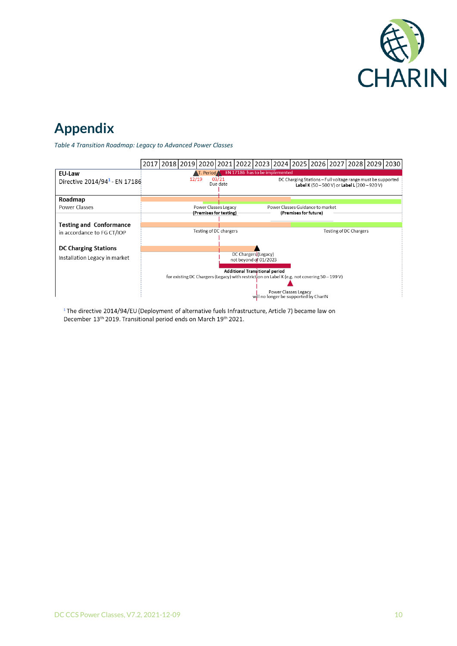

### **Appendix**

*Table 4 Transition Roadmap: Legacy to Advanced Power Classes*



<sup>1</sup>The directive 2014/94/EU (Deployment of alternative fuels Infrastructure, Article 7) became law on December 13<sup>th</sup> 2019. Transitional period ends on March 19<sup>th</sup> 2021.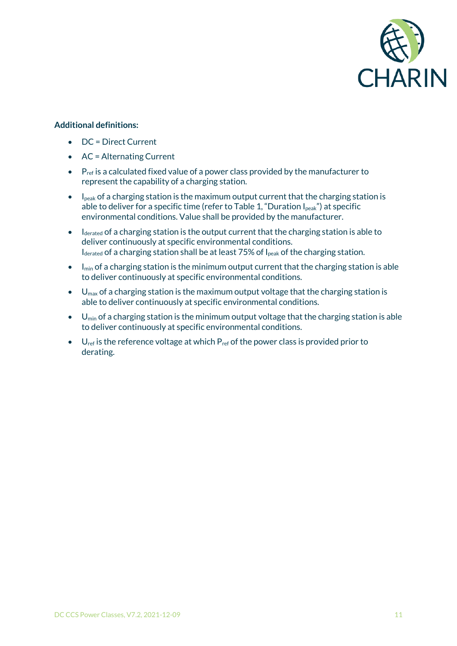

#### **Additional definitions:**

- DC = Direct Current
- AC = Alternating Current
- $\bullet$   $\mathsf{P}_{\text{ref}}$  is a calculated fixed value of a power class provided by the manufacturer to represent the capability of a charging station.
- $\bullet$  I<sub>peak</sub> of a charging station is the maximum output current that the charging station is able to deliver for a specific time (refer to Table 1, "Duration  $I_{peak}$ ") at specific environmental conditions. Value shall be provided by the manufacturer.
- $\bullet$  I derated of a charging station is the output current that the charging station is able to deliver continuously at specific environmental conditions.  $I_{\text{derated}}$  of a charging station shall be at least 75% of  $I_{\text{peak}}$  of the charging station.
- $\bullet$  I<sub>min</sub> of a charging station is the minimum output current that the charging station is able to deliver continuously at specific environmental conditions.
- $\bullet$  U<sub>max</sub> of a charging station is the maximum output voltage that the charging station is able to deliver continuously at specific environmental conditions.
- $\bullet$  U<sub>min</sub> of a charging station is the minimum output voltage that the charging station is able to deliver continuously at specific environmental conditions.
- $U_{ref}$  is the reference voltage at which  $P_{ref}$  of the power class is provided prior to derating.